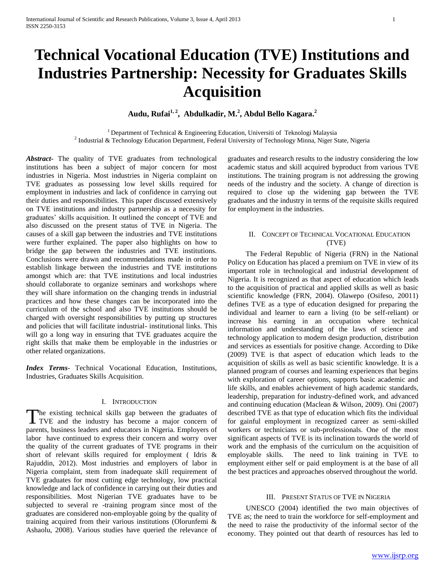# **Technical Vocational Education (TVE) Institutions and Industries Partnership: Necessity for Graduates Skills Acquisition**

**Audu, Rufai 1, 2 , Abdulkadir, M. 2 , Abdul Bello Kagara. 2**

<sup>1</sup> Department of Technical & Engineering Education, Universiti of Teknologi Malaysia <sup>2</sup> Industrial & Technology Education Department, Federal University of Technology Minna, Niger State, Nigeria

*Abstract***-** The quality of TVE graduates from technological institutions has been a subject of major concern for most industries in Nigeria. Most industries in Nigeria complaint on TVE graduates as possessing low level skills required for employment in industries and lack of confidence in carrying out their duties and responsibilities. This paper discussed extensively on TVE institutions and industry partnership as a necessity for graduates' skills acquisition. It outlined the concept of TVE and also discussed on the present status of TVE in Nigeria. The causes of a skill gap between the industries and TVE institutions were further explained. The paper also highlights on how to bridge the gap between the industries and TVE institutions. Conclusions were drawn and recommendations made in order to establish linkage between the industries and TVE institutions amongst which are: that TVE institutions and local industries should collaborate to organize seminars and workshops where they will share information on the changing trends in industrial practices and how these changes can be incorporated into the curriculum of the school and also TVE institutions should be charged with oversight responsibilities by putting up structures and policies that will facilitate industrial- institutional links. This will go a long way in ensuring that TVE graduates acquire the right skills that make them be employable in the industries or other related organizations.

*Index Terms*- Technical Vocational Education, Institutions, Industries, Graduates Skills Acquisition.

## I. INTRODUCTION

The existing technical skills gap between the graduates of The existing technical skills gap between the graduates of TVE and the industry has become a major concern of parents, business leaders and educators in Nigeria. Employers of labor have continued to express their concern and worry over the quality of the current graduates of TVE programs in their short of relevant skills required for employment ( Idris & Rajuddin, 2012). Most industries and employers of labor in Nigeria complaint, stem from inadequate skill requirement of TVE graduates for most cutting edge technology, low practical knowledge and lack of confidence in carrying out their duties and responsibilities. Most Nigerian TVE graduates have to be subjected to several re -training program since most of the graduates are considered non-employable going by the quality of training acquired from their various institutions (Olorunfemi & Ashaolu, 2008). Various studies have queried the relevance of graduates and research results to the industry considering the low academic status and skill acquired byproduct from various TVE institutions. The training program is not addressing the growing needs of the industry and the society. A change of direction is required to close up the widening gap between the TVE graduates and the industry in terms of the requisite skills required for employment in the industries.

## II. CONCEPT OF TECHNICAL VOCATIONAL EDUCATION (TVE)

 The Federal Republic of Nigeria (FRN) in the National Policy on Education has placed a premium on TVE in view of its important role in technological and industrial development of Nigeria. It is recognized as that aspect of education which leads to the acquisition of practical and applied skills as well as basic scientific knowledge (FRN, 2004). Olawepo (Osifeso, 20011) defines TVE as a type of education designed for preparing the individual and learner to earn a living (to be self-reliant) or increase his earning in an occupation where technical information and understanding of the laws of science and technology application to modern design production, distribution and services as essentials for positive change. According to Dike (2009) TVE is that aspect of education which leads to the acquisition of skills as well as basic scientific knowledge. It is a planned program of courses and learning experiences that begins with exploration of career options, supports basic academic and life skills, and enables achievement of high academic standards, leadership, preparation for industry-defined work, and advanced and continuing education (Maclean & Wilson, 2009). Oni (2007) described TVE as that type of education which fits the individual for gainful employment in recognized career as semi-skilled workers or technicians or sub-professionals. One of the most significant aspects of TVE is its inclination towards the world of work and the emphasis of the curriculum on the acquisition of employable skills. The need to link training in TVE to employment either self or paid employment is at the base of all the best practices and approaches observed throughout the world.

#### III. PRESENT STATUS OF TVE IN NIGERIA

 UNESCO (2004) identified the two main objectives of TVE as; the need to train the workforce for self-employment and the need to raise the productivity of the informal sector of the economy. They pointed out that dearth of resources has led to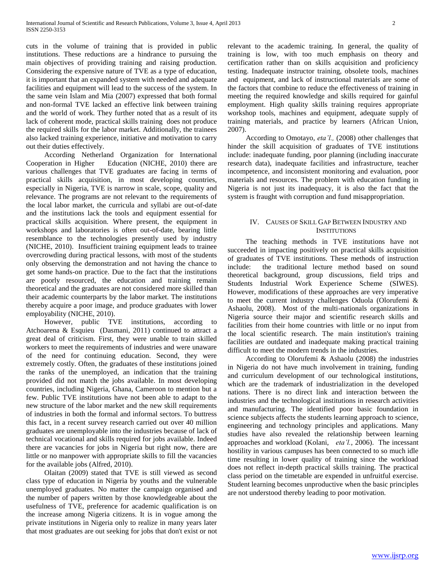cuts in the volume of training that is provided in public institutions. These reductions are a hindrance to pursuing the main objectives of providing training and raising production. Considering the expensive nature of TVE as a type of education, it is important that an expanded system with needed and adequate facilities and equipment will lead to the success of the system. In the same vein Islam and Mia (2007) expressed that both formal and non-formal TVE lacked an effective link between training and the world of work. They further noted that as a result of its lack of coherent mode, practical skills training does not produce the required skills for the labor market. Additionally, the trainees also lacked training experience, initiative and motivation to carry out their duties effectively.

 According Netherland Organization for International Cooperation in Higher Education (NICHE, 2010) there are various challenges that TVE graduates are facing in terms of practical skills acquisition, in most developing countries, especially in Nigeria, TVE is narrow in scale, scope, quality and relevance. The programs are not relevant to the requirements of the local labor market, the curricula and syllabi are out-of-date and the institutions lack the tools and equipment essential for practical skills acquisition. Where present, the equipment in workshops and laboratories is often out-of-date, bearing little resemblance to the technologies presently used by industry (NICHE, 2010). Insufficient training equipment leads to trainee overcrowding during practical lessons, with most of the students only observing the demonstration and not having the chance to get some hands-on practice. Due to the fact that the institutions are poorly resourced, the education and training remain theoretical and the graduates are not considered more skilled than their academic counterparts by the labor market. The institutions thereby acquire a poor image, and produce graduates with lower employability (NICHE, 2010).

 However, public TVE institutions, according to Atchoarena & Esquieu (Dasmani, 2011) continued to attract a great deal of criticism. First, they were unable to train skilled workers to meet the requirements of industries and were unaware of the need for continuing education. Second, they were extremely costly. Often, the graduates of these institutions joined the ranks of the unemployed, an indication that the training provided did not match the jobs available. In most developing countries, including Nigeria, Ghana, Cameroon to mention but a few. Public TVE institutions have not been able to adapt to the new structure of the labor market and the new skill requirements of industries in both the formal and informal sectors. To buttress this fact, in a recent survey research carried out over 40 million graduates are unemployable into the industries because of lack of technical vocational and skills required for jobs available. Indeed there are vacancies for jobs in Nigeria but right now, there are little or no manpower with appropriate skills to fill the vacancies for the available jobs (Alfred, 2010).

 Olaitan (2009) stated that TVE is still viewed as second class type of education in Nigeria by youths and the vulnerable unemployed graduates. No matter the campaign organised and the number of papers written by those knowledgeable about the usefulness of TVE, preference for academic qualification is on the increase among Nigeria citizens. It is in vogue among the private institutions in Nigeria only to realize in many years later that most graduates are out seeking for jobs that don't exist or not relevant to the academic training. In general, the quality of training is low, with too much emphasis on theory and certification rather than on skills acquisition and proficiency testing. Inadequate instructor training, obsolete tools, machines and equipment, and lack of instructional materials are some of the factors that combine to reduce the effectiveness of training in meeting the required knowledge and skills required for gainful employment. High quality skills training requires appropriate workshop tools, machines and equipment, adequate supply of training materials, and practice by learners (African Union, 2007).

 According to Omotayo, *eta'l.,* (2008) other challenges that hinder the skill acquisition of graduates of TVE institutions include: inadequate funding, poor planning (including inaccurate research data), inadequate facilities and infrastructure, teacher incompetence, and inconsistent monitoring and evaluation, poor materials and resources. The problem with education funding in Nigeria is not just its inadequacy, it is also the fact that the system is fraught with corruption and fund misappropriation.

## IV. CAUSES OF SKILL GAP BETWEEN INDUSTRY AND **INSTITUTIONS**

 The teaching methods in TVE institutions have not succeeded in impacting positively on practical skills acquisition of graduates of TVE institutions. These methods of instruction include: the traditional lecture method based on sound theoretical background, group discussions, field trips and Students Industrial Work Experience Scheme (SIWES). However, modifications of these approaches are very imperative to meet the current industry challenges Oduola (Olorufemi & Ashaolu, 2008). Most of the multi-nationals organizations in Nigeria source their major and scientific research skills and facilities from their home countries with little or no input from the local scientific research. The main institution's training facilities are outdated and inadequate making practical training difficult to meet the modern trends in the industries.

 According to Olorufemi & Ashaolu (2008) the industries in Nigeria do not have much involvement in training, funding and curriculum development of our technological institutions, which are the trademark of industrialization in the developed nations. There is no direct link and interaction between the industries and the technological institutions in research activities and manufacturing. The identified poor basic foundation in science subjects affects the students learning approach to science, engineering and technology principles and applications. Many studies have also revealed the relationship between learning approaches and workload (Kolani, *eta'l.*, 2006). The incessant hostility in various campuses has been connected to so much idle time resulting in lower quality of training since the workload does not reflect in-depth practical skills training. The practical class period on the timetable are expended in unfruitful exercise. Student learning becomes unproductive when the basic principles are not understood thereby leading to poor motivation.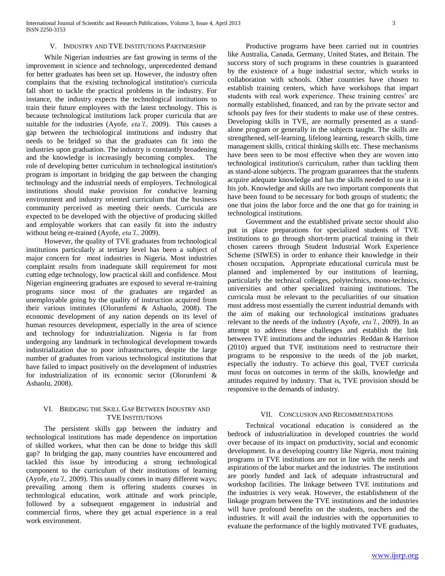### V. INDUSTRY AND TVE INSTITUTIONS PARTNERSHIP

 While Nigerian industries are fast growing in terms of the improvement in science and technology, unprecedented demand for better graduates has been set up. However, the industry often complains that the existing technological institution's curricula fall short to tackle the practical problems in the industry. For instance, the industry expects the technological institutions to train their future employees with the latest technology. This is because technological institutions lack proper curricula that are suitable for the industries (Ayofe*, eta'l.,* 2009). This causes a gap between the technological institutions and industry that needs to be bridged so that the graduates can fit into the industries upon graduation. The industry is constantly broadening and the knowledge is increasingly becoming complex. The role of developing better curriculum in technological institution's program is important in bridging the gap between the changing technology and the industrial needs of employers. Technological institutions should make provision for conducive learning environment and industry oriented curriculum that the business community perceived as meeting their needs. Curricula are expected to be developed with the objective of producing skilled and employable workers that can easily fit into the industry without being re-trained (Ayofe, *eta'l.,* 2009).

 However, the quality of TVE graduates from technological institutions particularly at tertiary level has been a subject of major concern for most industries in Nigeria. Most industries complaint results from inadequate skill requirement for most cutting edge technology, low practical skill and confidence. Most Nigerian engineering graduates are exposed to several re-training programs since most of the graduates are regarded as unemployable going by the quality of instruction acquired from their various institutes (Olorunfemi & Ashaolu, 2008). The economic development of any nation depends on its level of human resources development, especially in the area of science and technology for industrialization. Nigeria is far from undergoing any landmark in technological development towards industrialization due to poor infrastructures, despite the large number of graduates from various technological institutions that have failed to impact positively on the development of industries for industrialization of its economic sector (Olorunfemi & Ashaolu, 2008).

## VI. BRIDGING THE SKILL GAP BETWEEN INDUSTRY AND TVE INSTITUTIONS

 The persistent skills gap between the industry and technological institutions has made dependence on importation of skilled workers, what then can be done to bridge this skill gap? In bridging the gap, many countries have encountered and tackled this issue by introducing a strong technological component to the curriculum of their institutions of learning (Ayofe*, eta'l.,* 2009). This usually comes in many different ways; prevailing among them is offering students courses in technological education, work attitude and work principle, followed by a subsequent engagement in industrial and commercial firms, where they get actual experience in a real work environment.

 Productive programs have been carried out in countries like Australia, Canada, Germany, United States, and Britain. The success story of such programs in these countries is guaranteed by the existence of a huge industrial sector, which works in collaboration with schools. Other countries have chosen to establish training centers, which have workshops that impart students with real work experience. These training centres' are normally established, financed, and ran by the private sector and schools pay fees for their students to make use of these centres. Developing skills in TVE, are normally presented as a standalone program or generally in the subjects taught. The skills are strengthened, self-learning, lifelong learning, research skills, time management skills, critical thinking skills etc. These mechanisms have been seen to be most effective when they are woven into technological institution's curriculum, rather than tackling them as stand-alone subjects. The program guarantees that the students acquire adequate knowledge and has the skills needed to use it in his job. Knowledge and skills are two important components that have been found to be necessary for both groups of students; the one that joins the labor force and the one that go for training in technological institutions.

 Government and the established private sector should also put in place preparations for specialized students of TVE institutions to go through short-term practical training in their chosen careers through Student Industrial Work Experience Scheme (SIWES) in order to enhance their knowledge in their chosen occupation**.** Appropriate educational curricula must be planned and implemented by our institutions of learning, particularly the technical colleges, polytechnics, mono-technics, universities and other specialized training institutions. The curricula must be relevant to the peculiarities of our situation must address most essentially the current industrial demands with the aim of making our technological institutions graduates relevant to the needs of the industry (Ayofe, *eta'l.*, 2009). In an attempt to address these challenges and establish the link between TVE institutions and the industries Reddan & Harrison (2010) argued that TVE institutions need to restructure their programs to be responsive to the needs of the job market, especially the industry. To achieve this goal, TVET curricula must focus on outcomes in terms of the skills, knowledge and attitudes required by industry. That is, TVE provision should be responsive to the demands of industry.

#### VII. CONCLUSION AND RECOMMENDATIONS

 Technical vocational education is considered as the bedrock of industrialization in developed countries the world over because of its impact on productivity, social and economic development. In a developing country like Nigeria, most training programs in TVE institutions are not in line with the needs and aspirations of the labor market and the industries. The institutions are poorly funded and lack of adequate infrastructural and workshop facilities. The linkage between TVE institutions and the industries is very weak. However, the establishment of the linkage program between the TVE institutions and the industries will have profound benefits on the students, teachers and the industries. It will avail the industries with the opportunities to evaluate the performance of the highly motivated TVE graduates,